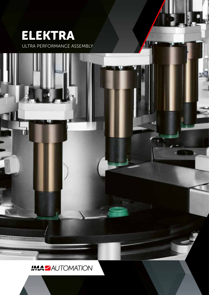

rd)

ULTRA PERFORMANCE ASSEMBLY

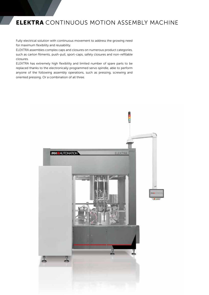## **ELEKTRA** CONTINUOUS MOTION ASSEMBLY MACHINE

Fully electrical solution with continuous movement to address the growing need for maximum flexibility and reusability.

ELEKTRA assembles complex caps and closures on numerous product categories, such as carton fitments, push-pull, sport-caps, safety closures and non-refillable closures.

ELEKTRA has extremely high flexibility and limited number of spare parts to be replaced thanks to the electronically programmed servo spindle, able to perform anyone of the following assembly operations, such as pressing, screwing and oriented pressing. Or a combination of all three.

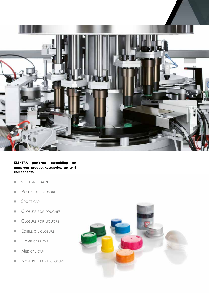

**ELEKTRA performs assembling on numerous product categories, up to 5 components.**

- CARTON FITMENT
- Push-pull closure
- **SPORT CAP**
- CLOSURE FOR POUCHES
- CLOSURE FOR LIQUORS
- EDIBLE OIL CLOSURE
- **HOME CARE CAP**
- **NEDICAL CAP**
- **NON-REFILLABLE CLOSURE**